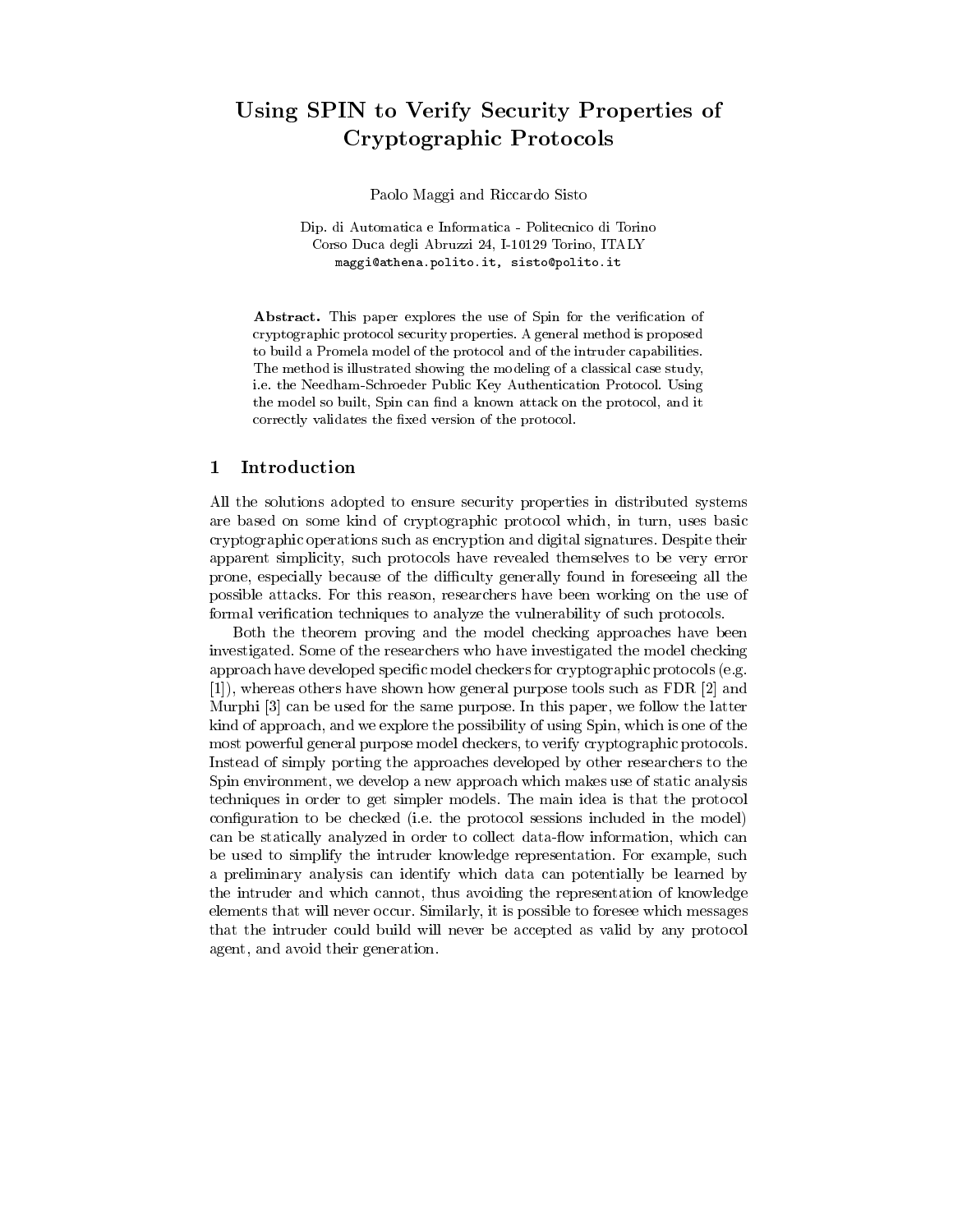# Using SPIN to Verify Security Properties of Cryptographic Protocols

Paolo Maggi and Riccardo Sisto

Dip. di Automatica e Informatica - Politecnico di Torino Corso Duca degli Abruzzi 24, I-10129 Torino, ITALY maggioathena.polito.it, sisto opolito.it

Abstract. This paper explores the use of Spin for the verification of cryptographic protocol security properties. A general method is proposed to build a Promela model of the protocol and of the intruder capabilities. The method is illustrated showing the modeling of a classical case study, i.e. the Needham-Schroeder Public Key Authentication Protocol. Using the model so built, Spin can find a known attack on the protocol, and it correctly validates the fixed version of the protocol.

### 1 Introduction

All the solutions adopted to ensure security properties in distributed systems are based on some kind of cryptographic protocol which, in turn, uses basic cryptographic operations such as encryption and digital signatures. Despite their apparent simplicity, such protocols have revealed themselves to be very error prone, especially because of the difficulty generally found in foreseeing all the possible attacks. For this reason, researchers have been working on the use of formal verication techniques to analyze the vulnerability of such protocols.

Both the theorem proving and the model checking approaches have been investigated. Some of the researchers who have investigated the model checking approach have developed specic model checkers for cryptographic protocols (e.g. [1]), whereas others have shown how general purpose tools such as FDR [2] and Murphi [3] can be used for the same purpose. In this paper, we follow the latter kind of approach, and we explore the possibility of using Spin, which is one of the most powerful general purpose model checkers, to verify cryptographic protocols. Instead of simply porting the approaches developed by other researchers to the Spin environment, we develop a new approach which makes use of static analysis techniques in order to get simpler models. The main idea is that the protocol configuration to be checked (i.e. the protocol sessions included in the model) can be statically analyzed in order to collect data-flow information, which can be used to simplify the intruder knowledge representation. For example, such a preliminary analysis can identify which data can potentially be learned by the intruder and which cannot, thus avoiding the representation of knowledge elements that will never occur. Similarly, it is possible to foresee which messages that the intruder could build will never be accepted as valid by any protocol agent, and avoid their generation.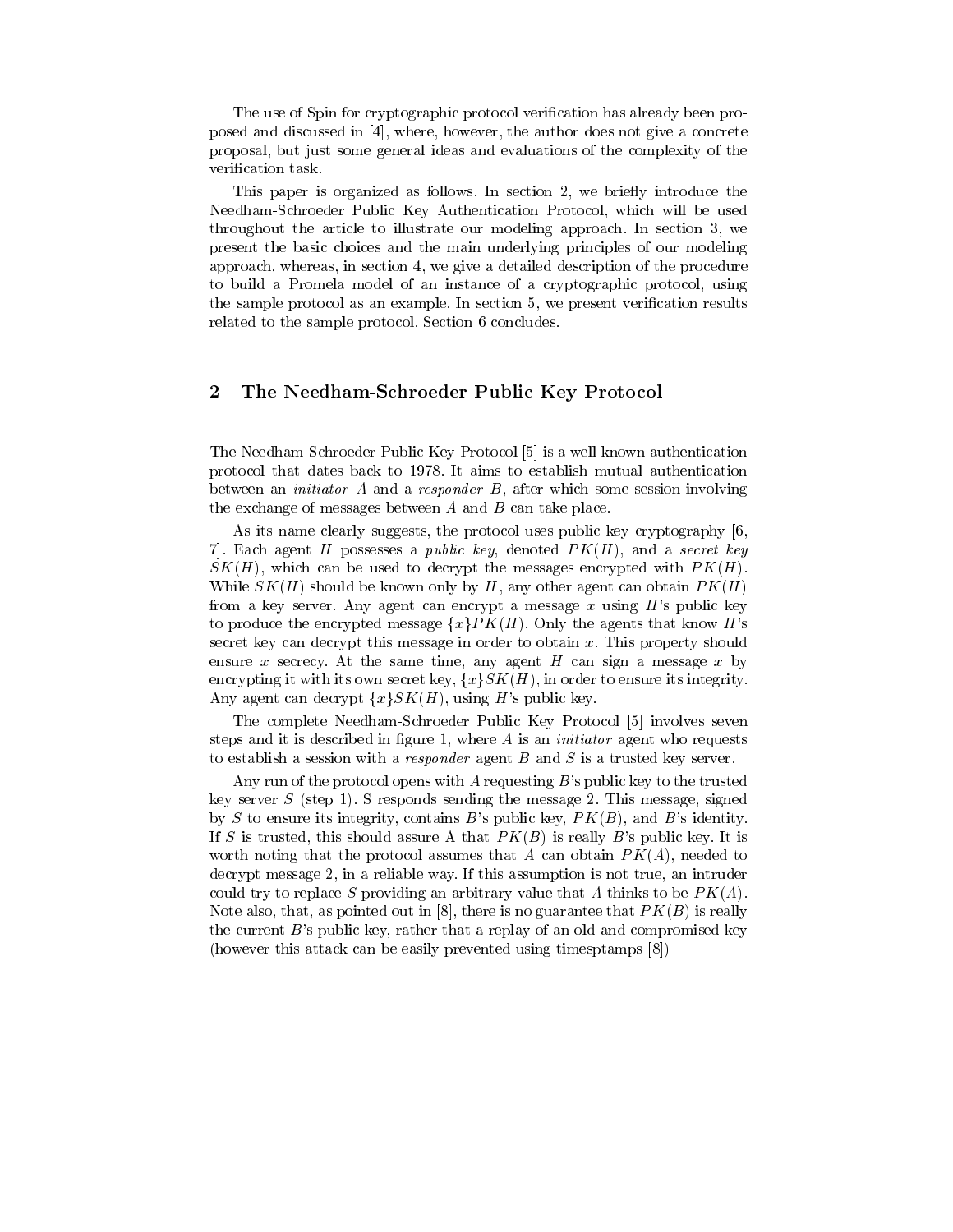The use of Spin for cryptographic protocol verification has already been proposed and discussed in [4], where, however, the author does not give a concrete proposal, but just some general ideas and evaluations of the complexity of the verification task.

This paper is organized as follows. In section 2, we briefly introduce the Needham-Schroeder Public Key Authentication Protocol, which will be used throughout the article to illustrate our modeling approach. In section 3, we present the basic choices and the main underlying principles of our modeling approach, whereas, in section 4, we give a detailed description of the procedure to build a Promela model of an instance of a cryptographic protocol, using the sample protocol as an example. In section 5, we present verification results related to the sample protocol. Section 6 concludes.

### 2 The Needham-Schroeder Public Key Protocol

The Needham-Schroeder Public Key Protocol [5] is a well known authentication protocol that dates back to 1978. It aims to establish mutual authentication between an *initiator*  $A$  and a *responder*  $B$ , after which some session involving the exchange of messages between  $A$  and  $B$  can take place.

As its name clearly suggests, the protocol uses public key cryptography [6, 7. Each agent H possesses a *public key*, denoted  $PK(H)$ , and a *secret key*  $SK(H)$ , which can be used to decrypt the messages encrypted with  $PK(H)$ . While  $SK(H)$  should be known only by H, any other agent can obtain  $PK(H)$ from a key server. Any agent can encrypt a message  $x$  using  $H$ 's public key to produce the encrypted message  $\{x\}PK(H)$ . Only the agents that know H's secret key can decrypt this message in order to obtain  $x$ . This property should ensure x secrecy. At the same time, any agent  $H$  can sign a message x by encrypting it with its own secret key,  $\{x\}SK(H)$ , in order to ensure its integrity. Any agent can decrypt  $\{x\}SK(H)$ , using H's public key.

The complete Needham-Schroeder Public Key Protocol [5] involves seven steps and it is described in figure 1, where  $A$  is an *initiator* agent who requests to establish a session with a *responder* agent  $B$  and  $S$  is a trusted key server.

Any run of the protocol opens with  $A$  requesting  $B$ 's public key to the trusted key server S (step 1). S responds sending the message 2. This message, signed by S to ensure its integrity, contains B's public key,  $PK(B)$ , and B's identity. If S is trusted, this should assure A that  $PK(B)$  is really B's public key. It is worth noting that the protocol assumes that A can obtain  $PK(A)$ , needed to decrypt message 2, in a reliable way. If this assumption is not true, an intruder could try to replace S providing an arbitrary value that A thinks to be  $PK(A)$ . Note also, that, as pointed out in [8], there is no guarantee that  $PK(B)$  is really the current B's public key, rather that a replay of an old and compromised key (however this attack can be easily prevented using timesptamps [8])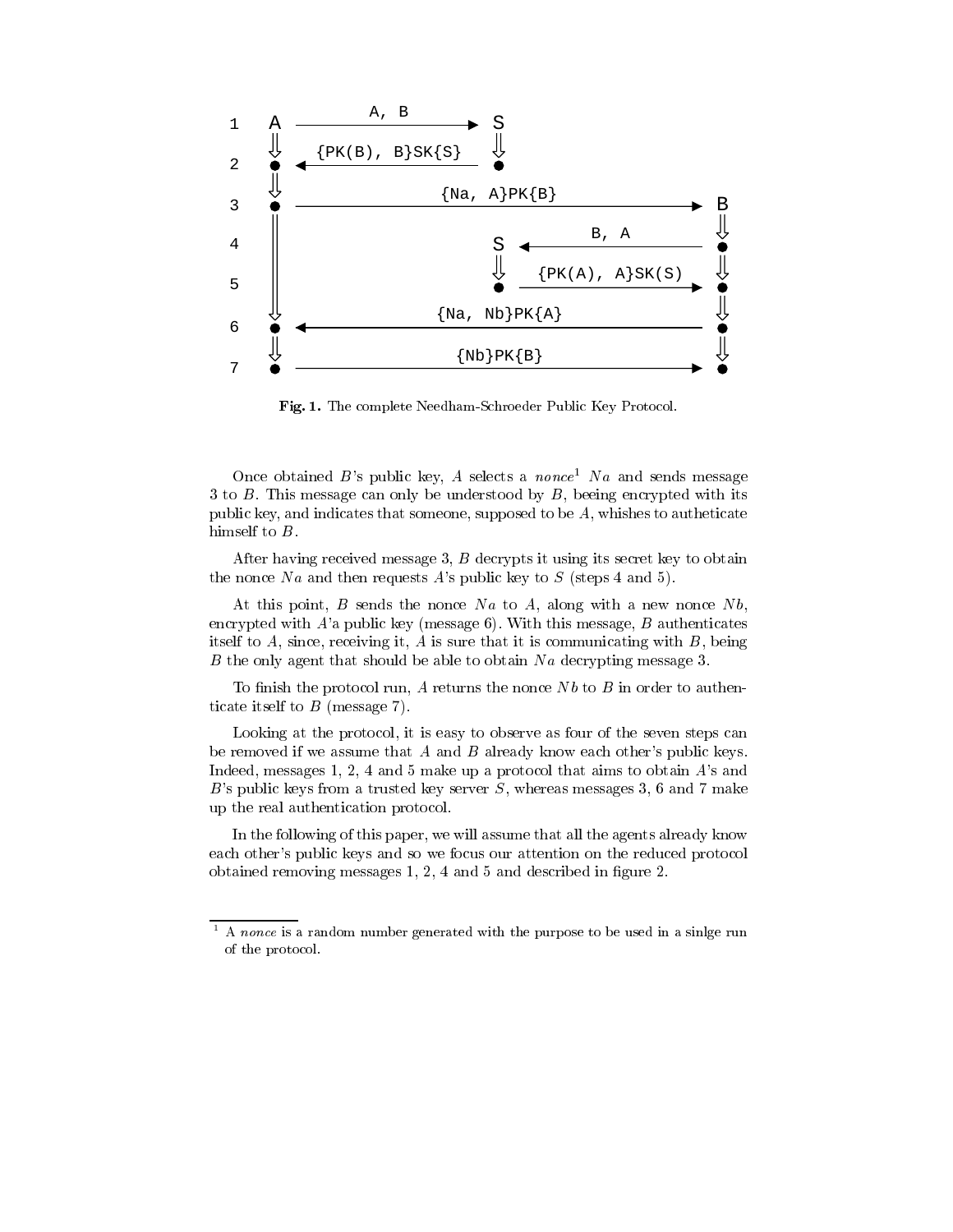

Fig. 1. The complete Needham-Schroeder Public Key Protocol.

Once obtained B's public key, A selects a *nonce*<sup>1</sup> Na and sends message 3 to  $B$ . This message can only be understood by  $B$ , beeing encrypted with its public key, and indicates that someone, supposed to be  $A$ , whishes to autheticate himself to B.

After having received message 3, B decrypts it using its secret key to obtain the nonce Na and then requests A's public key to S (steps 4 and 5).

At this point,  $B$  sends the nonce  $Na$  to  $A$ , along with a new nonce  $Nb$ , encrypted with  $A$ 'a public key (message 6). With this message,  $B$  authenticates itself to  $A$ , since, receiving it,  $A$  is sure that it is communicating with  $B$ , being B the only agent that should be able to obtain  $Na$  decrypting message 3.

To finish the protocol run, A returns the nonce  $Nb$  to B in order to authenticate itself to  $B$  (message 7).

Looking at the protocol, it is easy to observe as four of the seven steps can be removed if we assume that  $A$  and  $B$  already know each other's public keys. Indeed, messages 1, 2, 4 and 5 make up a protocol that aims to obtain A's and  $B$ 's public keys from a trusted key server  $S$ , whereas messages 3, 6 and 7 make up the real authentication protocol.

In the following of this paper, we will assume that all the agents already know each other's public keys and so we focus our attention on the reduced protocol obtained removing messages  $1, 2, 4$  and  $5$  and described in figure  $2$ .

 $\,$  A nonce is a random number generated with the purpose to be used in a sinige run of the protocol.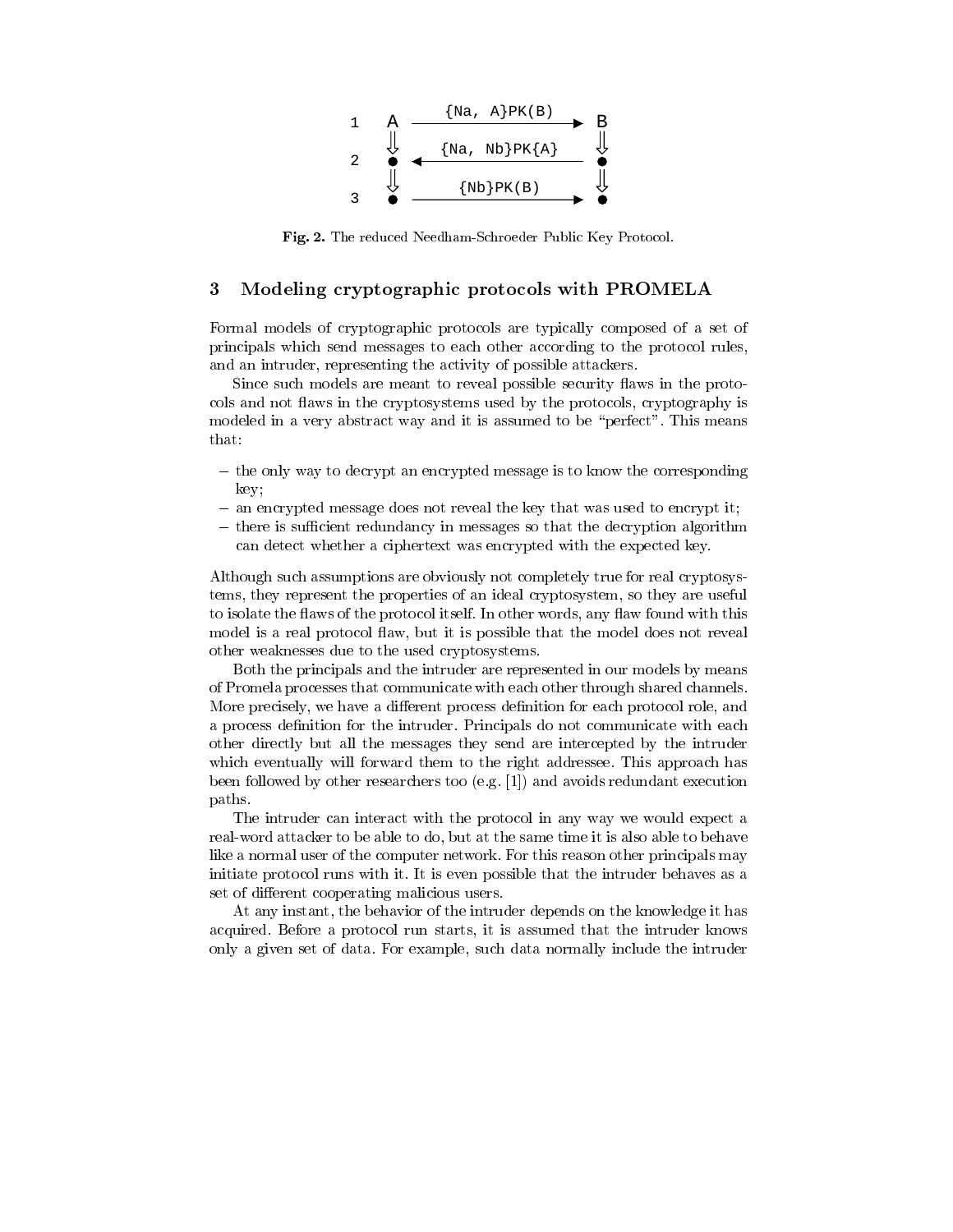

Fig. 2. The reduced Needham-Schroeder Public Key Protocol.

#### 3 Modeling cryptographic protocols with PROMELA

Formal models of cryptographic protocols are typically composed of a set of principals which send messages to each other according to the protocol rules, and an intruder, representing the activity of possible attackers.

Since such models are meant to reveal possible security flaws in the protocols and not flaws in the cryptosystems used by the protocols, cryptography is modeled in a very abstract way and it is assumed to be "perfect". This means  $that:$ 

- { the only way to decrypt an encrypted message is to know the corresponding key;
- ${\bf -}$  an encrypted message does not reveal the key that was used to encrypt it;
- ${\it -}$  there is sufficient redundancy in messages so that the decryption algorithm can detect whether a ciphertext was encrypted with the expected key.

Although such assumptions are obviously not completely true for real cryptosystems, they represent the properties of an ideal cryptosystem, so they are useful to isolate the flaws of the protocol itself. In other words, any flaw found with this model is a real protocol flaw, but it is possible that the model does not reveal other weaknesses due to the used cryptosystems.

Both the principals and the intruder are represented in our models by means of Promela processes that communicate with each other through shared channels. More precisely, we have a different process definition for each protocol role, and a process definition for the intruder. Principals do not communicate with each other directly but all the messages they send are intercepted by the intruder which eventually will forward them to the right addressee. This approach has been followed by other researchers too (e.g. [1]) and avoids redundant execution paths.

The intruder can interact with the protocol in any way we would expect a real-word attacker to be able to do, but at the same time it is also able to behave like a normal user of the computer network. For this reason other principals may initiate protocol runs with it. It is even possible that the intruder behaves as a set of different cooperating malicious users.

At any instant, the behavior of the intruder depends on the knowledge it has acquired. Before a protocol run starts, it is assumed that the intruder knows only a given set of data. For example, such data normally include the intruder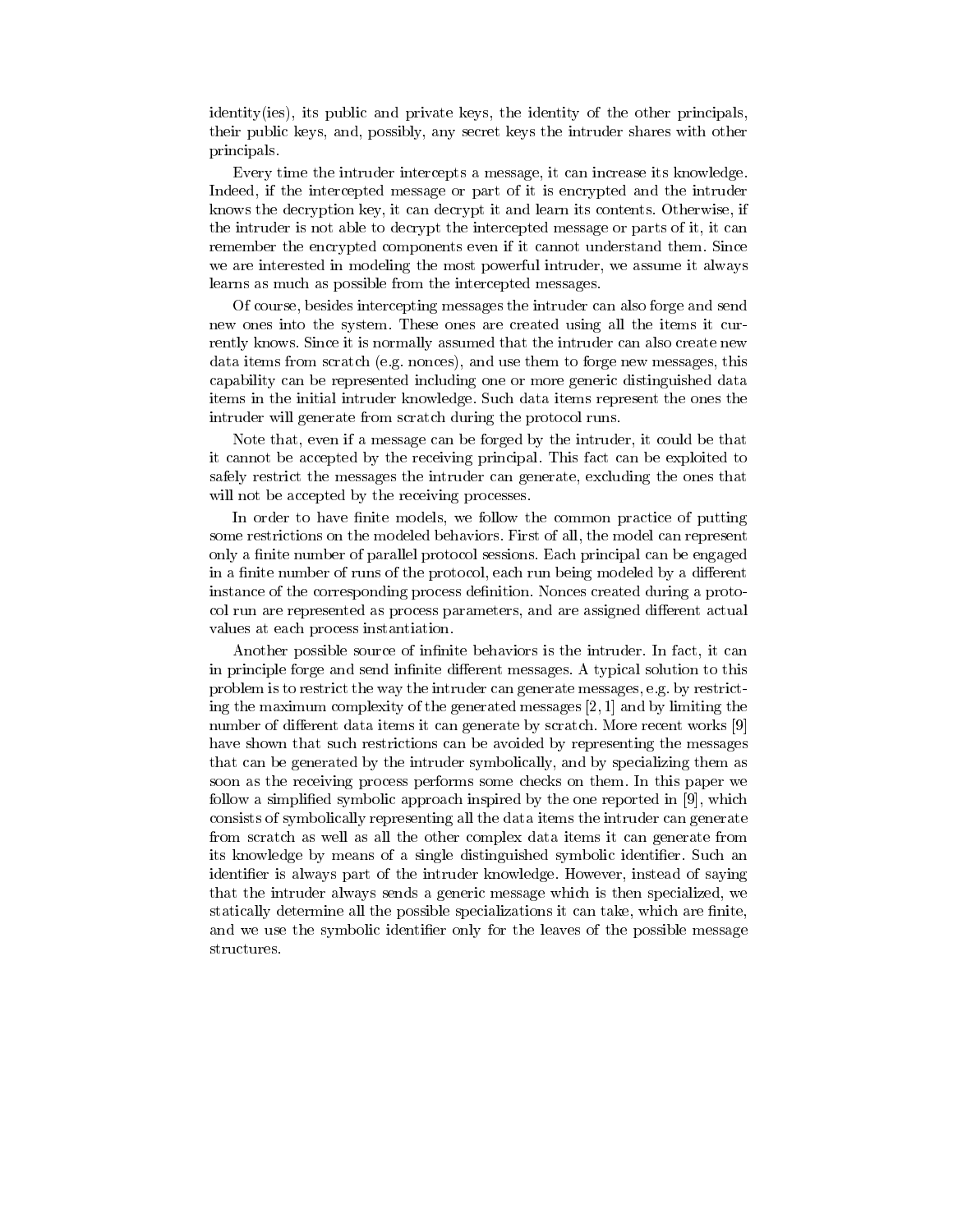identity(ies), its public and private keys, the identity of the other principals, their public keys, and, possibly, any secret keys the intruder shares with other principals.

Every time the intruder intercepts a message, it can increase its knowledge. Indeed, if the intercepted message or part of it is encrypted and the intruder knows the decryption key, it can decrypt it and learn its contents. Otherwise, if the intruder is not able to decrypt the intercepted message or parts of it, it can remember the encrypted components even if it cannot understand them. Since we are interested in modeling the most powerful intruder, we assume it always learns as much as possible from the intercepted messages.

Of course, besides intercepting messages the intruder can also forge and send new ones into the system. These ones are created using all the items it currently knows. Since it is normally assumed that the intruder can also create new data items from scratch (e.g. nonces), and use them to forge new messages, this capability can be represented including one or more generic distinguished data items in the initial intruder knowledge. Such data items represent the ones the intruder will generate from scratch during the protocol runs.

Note that, even if a message can be forged by the intruder, it could be that it cannot be accepted by the receiving principal. This fact can be exploited to safely restrict the messages the intruder can generate, excluding the ones that will not be accepted by the receiving processes.

In order to have finite models, we follow the common practice of putting some restrictions on the modeled behaviors. First of all, the model can represent only a finite number of parallel protocol sessions. Each principal can be engaged in a finite number of runs of the protocol, each run being modeled by a different instance of the corresponding process definition. Nonces created during a protocol run are represented as process parameters, and are assigned different actual values at each process instantiation.

Another possible source of infinite behaviors is the intruder. In fact, it can in principle forge and send infinite different messages. A typical solution to this problem is to restrict the way the intruder can generate messages, e.g. by restricting the maximum complexity of the generated messages [2, 1] and by limiting the number of different data items it can generate by scratch. More recent works [9] have shown that such restrictions can be avoided by representing the messages that can be generated by the intruder symbolically, and by specializing them as soon as the receiving process performs some checks on them. In this paper we follow a simplied symbolic approach inspired by the one reported in [9], which consists of symbolically representing all the data items the intruder can generate from scratch as well as all the other complex data items it can generate from its knowledge by means of a single distinguished symbolic identifier. Such an identier is always part of the intruder knowledge. However, instead of saying that the intruder always sends a generic message which is then specialized, we statically determine all the possible specializations it can take, which are finite, and we use the symbolic identifier only for the leaves of the possible message structures.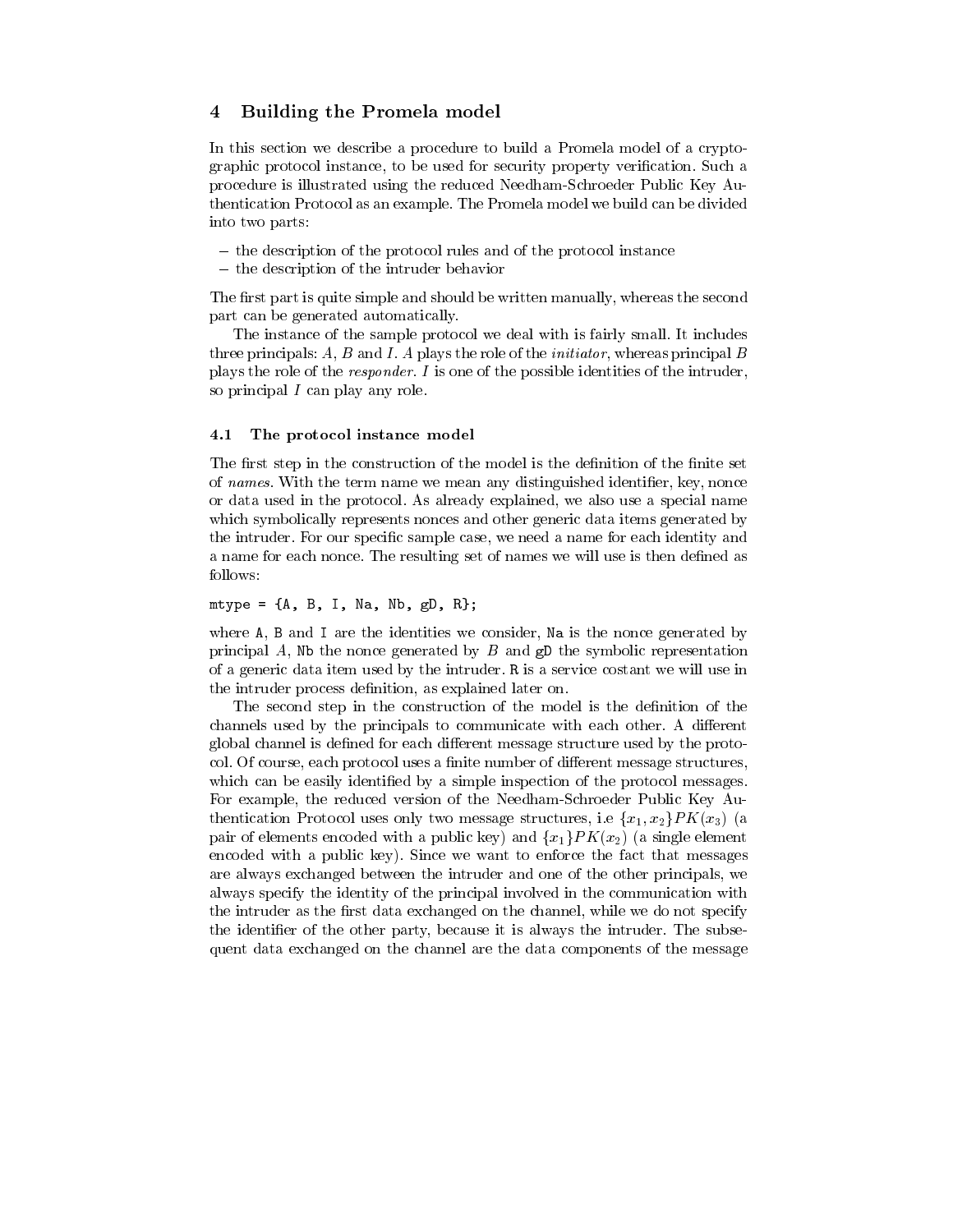# 4 Building the Promela model

In this section we describe a procedure to build a Promela model of a cryptographic protocol instance, to be used for security property verication. Such a procedure is illustrated using the reduced Needham-Schroeder Public Key Authentication Protocol as an example. The Promela model we build can be divided into two parts:

- ${\bf -}$  the description of the protocol rules and of the protocol instance
- { the description of the intruder behavior

The first part is quite simple and should be written manually, whereas the second part can be generated automatically.

The instance of the sample protocol we deal with is fairly small. It includes three principals:  $A, B$  and  $I, A$  plays the role of the *initiator*, whereas principal  $B$ plays the role of the *responder.* I is one of the possible identities of the intruder, so principal  $I$  can play any role.

### 4.1 The protocol instance model

The first step in the construction of the model is the definition of the finite set of names. With the term name we mean any distinguished identifier, key, nonce or data used in the protocol. As already explained, we also use a special name which symbolically represents nonces and other generic data items generated by the intruder. For our specific sample case, we need a name for each identity and a name for each nonce. The resulting set of names we will use is then defined as follows:

mtype =  $\{A, B, I, Na, Nb, gD, R\};$ 

where  $A$ ,  $B$  and  $I$  are the identities we consider,  $Na$  is the nonce generated by principal A, Nb the nonce generated by  $B$  and  $gD$  the symbolic representation of a generic data item used by the intruder. R is a service costant we will use in the intruder process definition, as explained later on.

The second step in the construction of the model is the definition of the channels used by the principals to communicate with each other. A different global channel is defined for each different message structure used by the protocol. Of course, each protocol uses a finite number of different message structures, which can be easily identified by a simple inspection of the protocol messages. For example, the reduced version of the Needham-Schroeder Public Key Authentication Protocol uses only two message structures, i.e  $\{x_1, x_2\} P K(x_3)$  (a pair of elements encoded with a public key) and  $\{x_1\}PK(x_2)$  (a single element encoded with a public key). Since we want to enforce the fact that messages are always exchanged between the intruder and one of the other principals, we always specify the identity of the principal involved in the communication with the intruder as the first data exchanged on the channel, while we do not specify the identifier of the other party, because it is always the intruder. The subsequent data exchanged on the channel are the data components of the message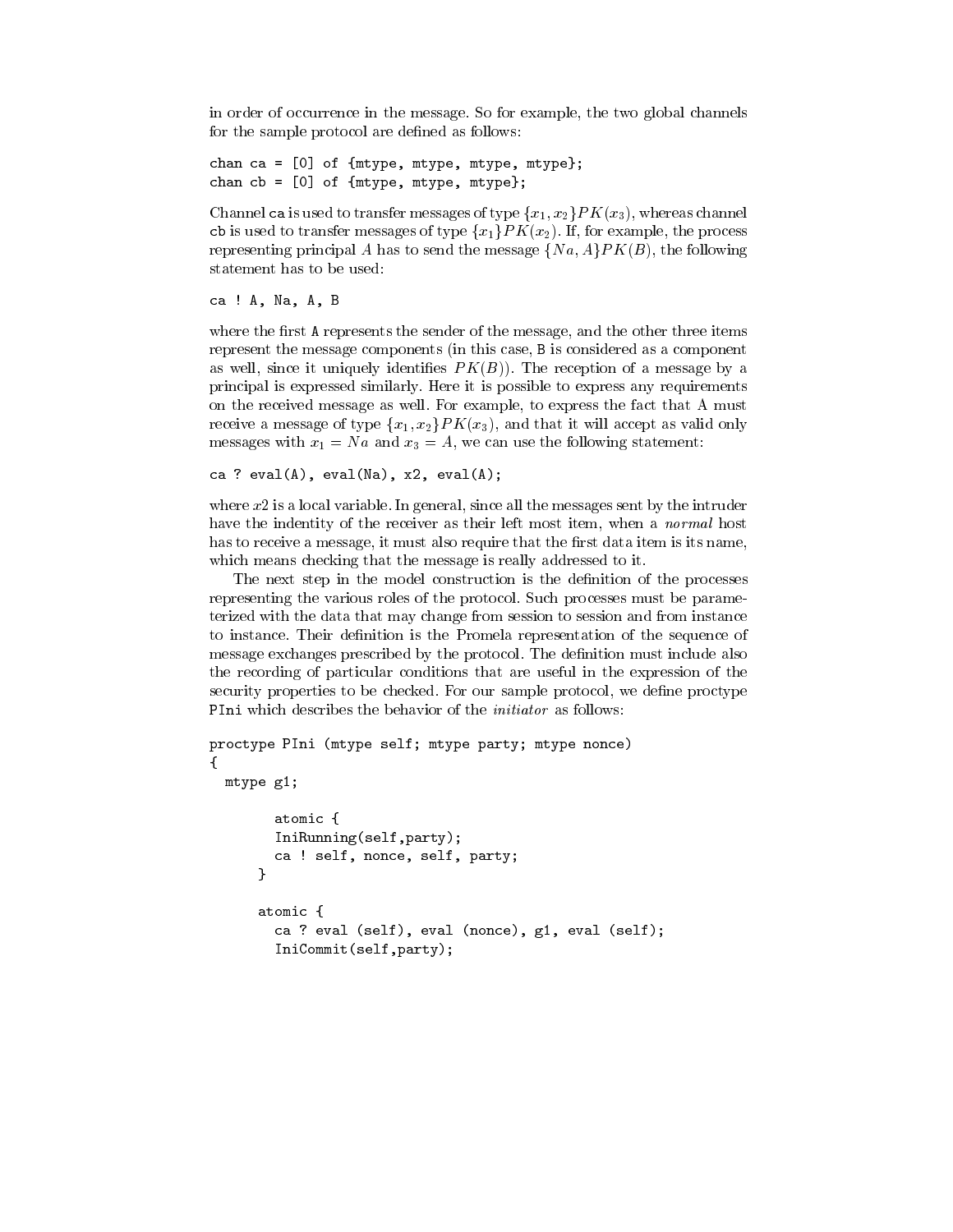in order of occurrence in the message. So for example, the two global channels for the sample protocol are defined as follows:

chan ca = [0] of {mtype, mtype, mtype, mtype}; chan cb = [0] of {mtype, mtype, mtype};

Channel ca is used to transfer messages of type  $\{x_1, x_2\}$   $PK(x_3)$ , whereas channel cb is used to transfer messages of type  ${x_1}PR(x_2)$ . If, for example, the process representing principal A has to send the message  $\{Na, A\}PK(B)$ , the following statement has to be used:

ca ! A, Na, A, B

where the first A represents the sender of the message, and the other three items represent the message components (in this case, B is considered as a component as well, since it uniquely identifies  $PK(B)$ ). The reception of a message by a principal is expressed similarly. Here it is possible to express any requirements on the received message as well. For example, to express the fact that A must receive a message of type  ${x_1, x_2}$   $PK(x_3)$ , and that it will accept as valid only messages with  $x_1 = Na$  and  $x_3 = A$ , we can use the following statement:

ca ?  $eval(A)$ ,  $eval(Na)$ ,  $x2$ ,  $eval(A)$ ;

where  $x2$  is a local variable. In general, since all the messages sent by the intruder have the indentity of the receiver as their left most item, when a *normal* host has to receive a message, it must also require that the first data item is its name, which means checking that the message is really addressed to it.

The next step in the model construction is the definition of the processes representing the various roles of the protocol. Such processes must be parameterized with the data that may change from session to session and from instance to instance. Their definition is the Promela representation of the sequence of message exchanges prescribed by the protocol. The definition must include also the recording of particular conditions that are useful in the expression of the security properties to be checked. For our sample protocol, we define proctype PIni which describes the behavior of the *initiator* as follows:

```
proctype PIni (mtype self; mtype party; mtype nonce)
{
 mtype g1;
        atomic {
        IniRunning(self,party);
        ca ! self, nonce, self, party;
      <u>Property</u>
      atomic {
        ca ? eval (self), eval (nonce), g1, eval (self);
        IniCommit(self,party);
```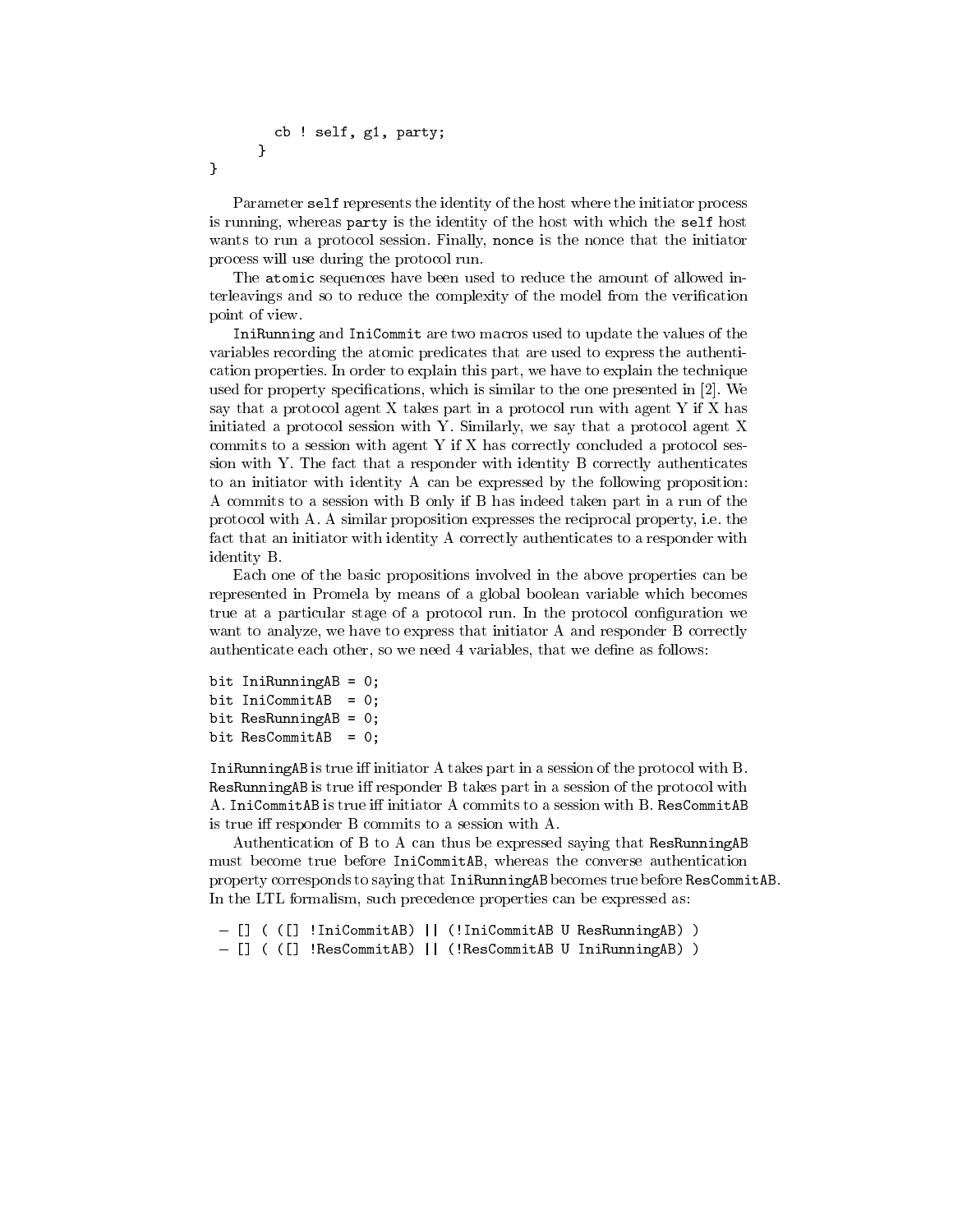```
cb ! self, g1, party;
          \mathcal{F}<u>Property</u>
\mathcal{F}
```
}

Parameter self represents the identity of the host where the initiator process is running, whereas party is the identity of the host with which the self host wants to run a protocol session. Finally, nonce is the nonce that the initiator process will use during the protocol run.

The atomic sequences have been used to reduce the amount of allowed interleavings and so to reduce the complexity of the model from the verication point of view.

IniRunning and IniCommit are two macros used to update the values of the variables recording the atomic predicates that are used to express the authentication properties. In order to explain this part, we have to explain the technique used for property specications, which is similar to the one presented in [2]. We say that a protocol agent X takes part in a protocol run with agent Y if X has initiated a protocol session with Y. Similarly, we say that a protocol agent X commits to a session with agent Y if X has correctly concluded a protocol session with Y. The fact that a responder with identity B correctly authenticates to an initiator with identity A can be expressed by the following proposition: A commits to a session with B only if B has indeed taken part in a run of the protocol with A. A similar proposition expresses the reciprocal property, i.e. the fact that an initiator with identity A correctly authenticates to a responder with identity B.

Each one of the basic propositions involved in the above properties can be represented in Promela by means of a global boolean variable which becomes true at a particular stage of a protocol run. In the protocol conguration we want to analyze, we have to express that initiator A and responder B correctly authenticate each other, so we need 4 variables, that we define as follows:

```
bit IniRunningAB = 0;
bit IniCommitAB = 0;
bit ResRunningAB = 0;
bit ResCommitAB = 0;
```
IniRunningAB is true iff initiator A takes part in a session of the protocol with  $B$ .  $ResRunningAB$  is true iff responder  $B$  takes part in a session of the protocol with A. IniCommitAB is true iff initiator A commits to a session with B. ResCommitAB is true iff responder B commits to a session with A.

Authentication of B to A can thus be expressed saying that ResRunningAB must become true before IniCommitAB, whereas the converse authentication property corresponds to saying that IniRunningAB becomes true before ResCommitAB. In the LTL formalism, such precedence properties can be expressed as:

```
{ [] ( ([] !IniCommitAB) || (!IniCommitAB U ResRunningAB) ) { [] ( ([] !ResCommitAB) || (!ResCommitAB U IniRunningAB) )
```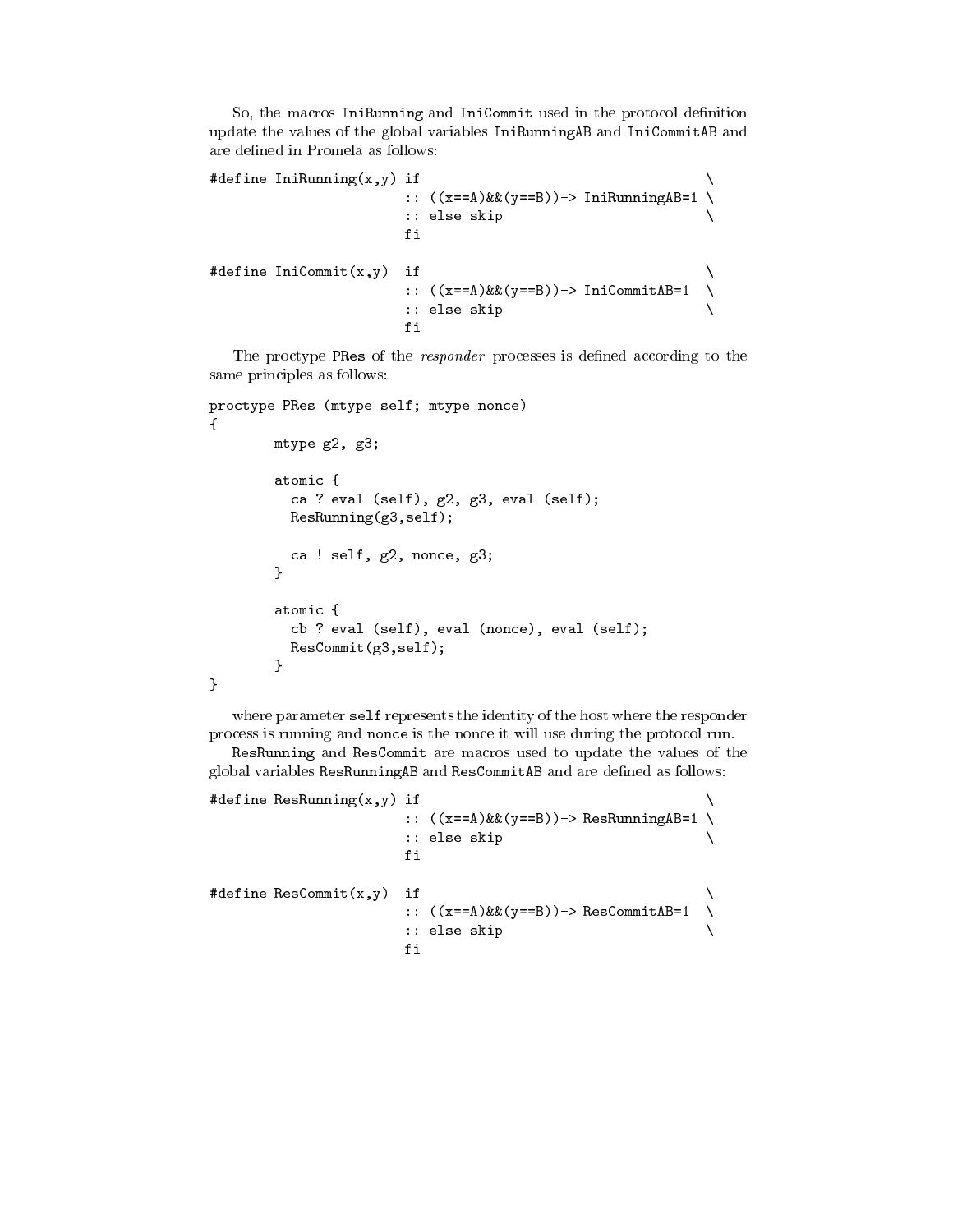So, the macros IniRunning and IniCommit used in the protocol definition update the values of the global variables IniRunningAB and IniCommitAB and are defined in Promela as follows:

```
#define IniRunning(x,y) if \
                        :: ((x == A) & (y == B)) -> Ini Running AB = 1:: else skip \
                                                              À
                        fi
#define IniCommit(x,y) if \
                                                              N
                        :: ((x==A) \& (y==B))-> \text{IniCommithB=1} \ \ \ \ \ \:: else skip \
                                                              X
                        fi
```
The proctype PRes of the *responder* processes is defined according to the same principles as follows:

```
proctype PRes (mtype self; mtype nonce)
{
        mtype g2, g3;
        atomic {
          ca ? eval (self), g2, g3, eval (self);
          ResRunning(g3,self);
          ca ! self, g2, nonce, g3;
        \mathcal{F}}
        atomic {
          cb ? eval (self), eval (nonce), eval (self);
          ResCommit(g3,self);
        \mathcal{F}}
```
}

where parameter self represents the identity of the host where the responder process is running and nonce is the nonce it will use during the protocol run.

ResRunning and ResCommit are macros used to update the values of the global variables ResRunningAB and ResCommitAB and are defined as follows:

```
\# \text{define ResRunning}(x, y) \text{ if } \qquad \qquad \}:: ((x==A) \& (y==B))-> ResRunningAB=1 \
                      \therefore else skip \setminus\# \text{define } ResCommit(x,y) \text{ if } \qquad \qquad \backslash:: ((x == A) & (y == B)) -> ResCommitAB=1
                      :: else skip \
                      fi
```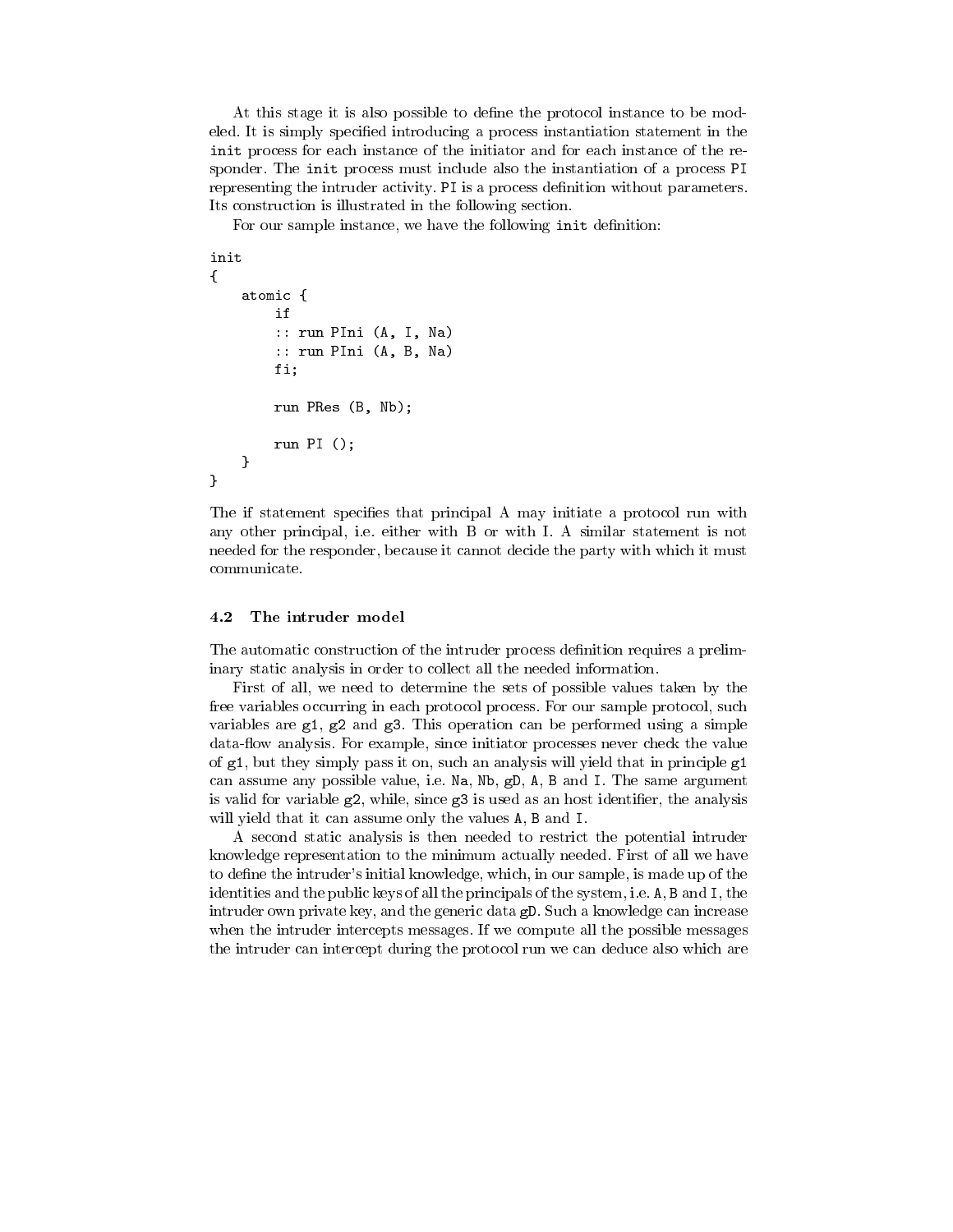At this stage it is also possible to define the protocol instance to be modeled. It is simply specied introducing a process instantiation statement in the init process for each instance of the initiator and for each instance of the responder. The init process must include also the instantiation of a process PI representing the intruder activity. PI is a process definition without parameters. Its construction is illustrated in the following section.

For our sample instance, we have the following init definition:

```
init
{
    atomic {
        i f
        :: run PIni (A, I, Na)
        :: run PIni (A, B, Na)
        fi;
        run PRes (B, Nb);
        run PI ();
    }
}
```
The if statement specifies that principal A may initiate a protocol run with any other principal, i.e. either with B or with I. A similar statement is not needed for the responder, because it cannot decide the party with which it must

#### 4.2 The intruder model

The automatic construction of the intruder process definition requires a preliminary static analysis in order to collect all the needed information.

First of all, we need to determine the sets of possible values taken by the free variables occurring in each protocol process. For our sample protocol, such variables are g1, g2 and g3. This operation can be performed using a simple data-flow analysis. For example, since initiator processes never check the value of g1, but they simply pass it on, such an analysis will yield that in principle g1 can assume any possible value, i.e. Na, Nb, gD, A, B and I. The same argument is valid for variable  $g_2$ , while, since  $g_3$  is used as an host identifier, the analysis will yield that it can assume only the values A, B and I.

A second static analysis is then needed to restrict the potential intruder knowledge representation to the minimum actually needed. First of all we have to define the intruder's initial knowledge, which, in our sample, is made up of the identities and the public keys of all the principals of the system, i.e. A, B and I, the intruder own private key, and the generic data gD. Such a knowledge can increase when the intruder intercepts messages. If we compute all the possible messages the intruder can intercept during the protocol run we can deduce also which are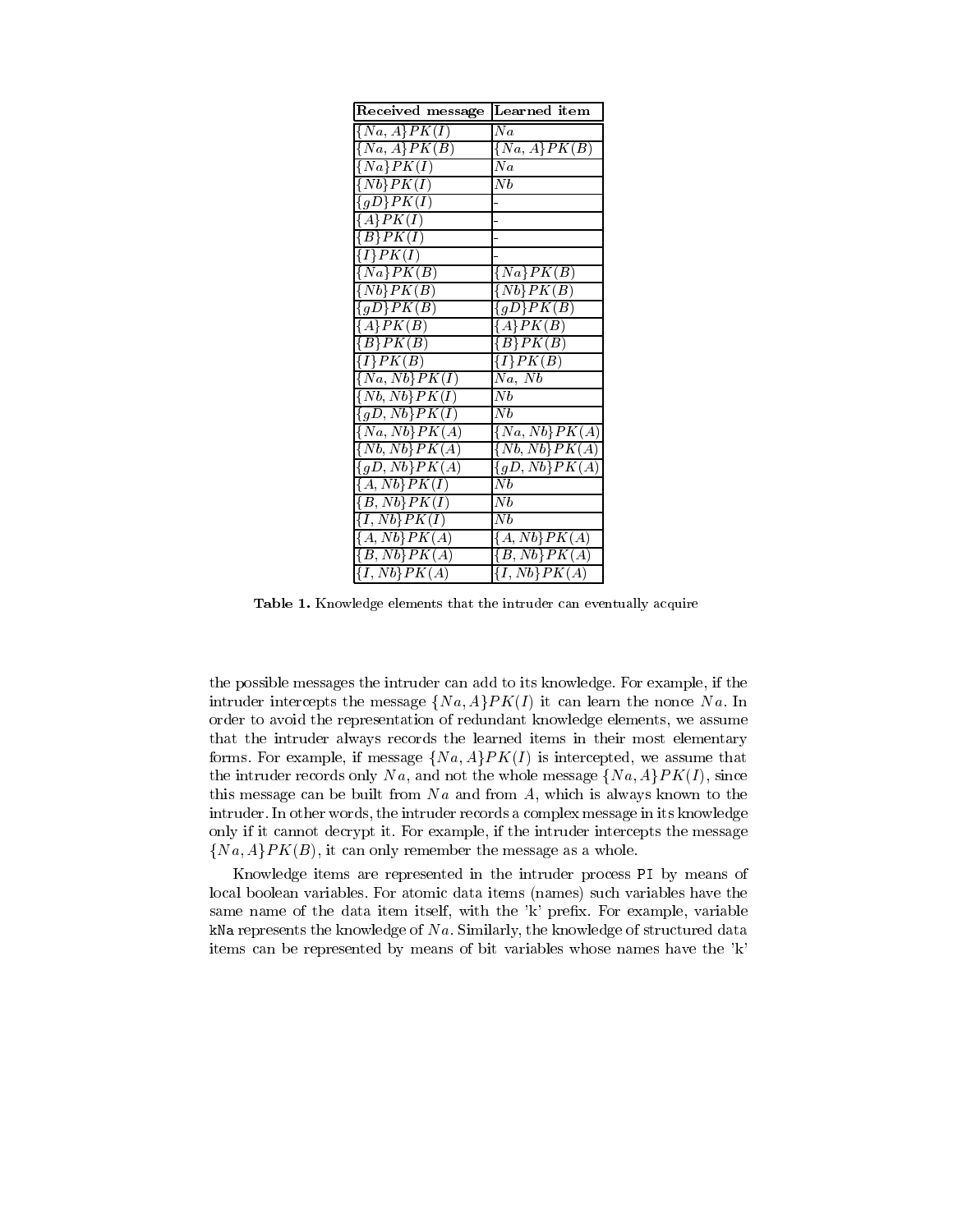| Received message                      | Learned item                |  |
|---------------------------------------|-----------------------------|--|
| $\overline{\{Na, A\}PK(I)}$           | Na                          |  |
| $\{Na, A\}PK(B)$                      | $\{Na, A\}PK(B)$            |  |
| $\overline{\{Na\}PK(I)}$              | Na                          |  |
| $\{Nb\}PK(I)$                         | Nb                          |  |
| $\{gD\}PK(I)$                         |                             |  |
| ${A}PK(I)$                            |                             |  |
| ${B}PK(I)$                            |                             |  |
| ${I}PK(I)$                            |                             |  |
| $\{Na\}PK(B)$                         | $\{Na\}PK(B)$               |  |
| $\{Nb\}PK(B)$                         | $\{Nb\}PK(B)$               |  |
| ${gD}PK(B)$                           | ${gD}PK(B)$                 |  |
| ${A}PK(B)$                            | ${A}PK(B)$                  |  |
| ${B}PK(B)$                            | ${B}PK(B)$                  |  |
| ${I}PK(B)$                            | ${I}PR(B)$                  |  |
| $\{Na, Nb\}PK(I)$                     | Na,~Nb                      |  |
| $\{Nb, Nb\}PK(I)$                     | $\overline{Nb}$             |  |
| $\{gD,Nb\}PK(I)$                      | Nb                          |  |
| $\{Na, Nb\}PK(A)$                     | $\{Na, Nb\}PK(A)$           |  |
| $\{Nb, Nb\}PK(A)$                     | $\{Nb, Nb\}PK(A)$           |  |
| $\{gD, Nb\}PK(A)$                     | $\{gD,\overline{Nb\}PK(A)}$ |  |
| ${A, Nb}$ $PK(I)$                     | Nb                          |  |
| ${B, Nb}$ $PK(I)$                     | Nb                          |  |
| $\{I,Nb\}PK(I)$                       | Nb                          |  |
| $\overline{A, Nb}$ $\overline{PK(A)}$ | ${A, Nb}$ $PK(A)$           |  |
| ${B, Nb}PK(A)$                        | ${B, Nb}PK(A)$              |  |
| $\{I, Nb\}PK(A)$                      | ${I, Nb}PK(A)$              |  |

Table 1. Knowledge elements that the intruder can eventually acquire

the possible messages the intruder can add to its knowledge. For example, if the intruder intercepts the message  $\{Na, A\}PK(I)$  it can learn the nonce Na. In order to avoid the representation of redundant knowledge elements, we assume that the intruder always records the learned items in their most elementary forms. For example, if message  $\{Na, A\}PK(I)$  is intercepted, we assume that the intruder records only N<sub>a</sub>, and not the whole message  $\{Na, A\}PK(I)$ , since this message can be built from  $Na$  and from  $A$ , which is always known to the intruder. In other words, the intruder records a complex message in its knowledge only if it cannot decrypt it. For example, if the intruder intercepts the message  $\{Na, A\}PK(B)$ , it can only remember the message as a whole.

Knowledge items are represented in the intruder process PI by means of local boolean variables. For atomic data items (names) such variables have the same name of the data item itself, with the 'k' prefix. For example, variable kNa represents the knowledge of  $Na$ . Similarly, the knowledge of structured data items can be represented by means of bit variables whose names have the 'k'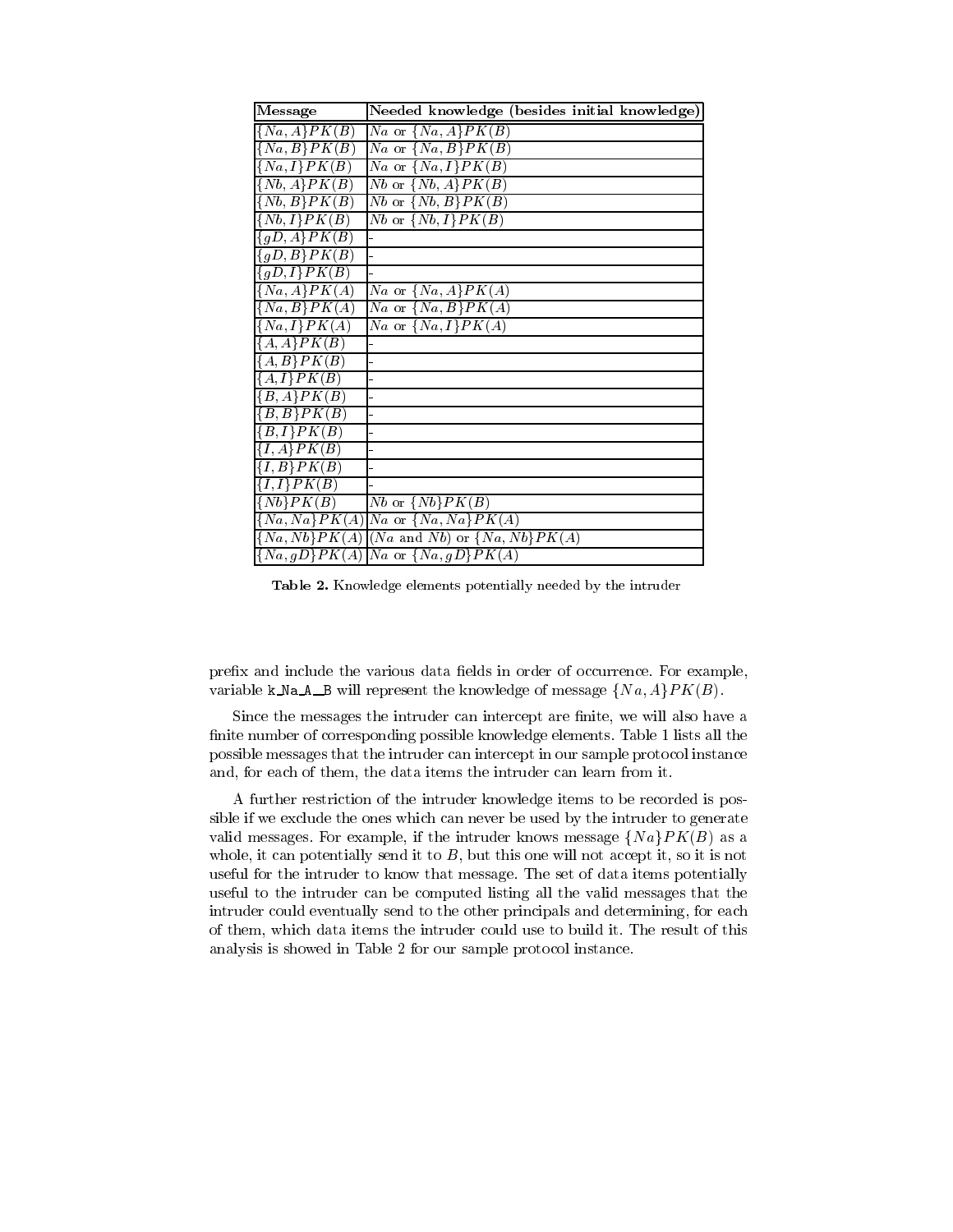| Message                       | Needed knowledge (besides initial knowledge)       |
|-------------------------------|----------------------------------------------------|
| $\{Na, A\}PK(B)$              | <i>Na</i> or $\{Na, A\}PK(B)$                      |
| $\{Na, B\}PK(B)$              | <i>Na</i> or $\{Na, B\}PK(B)$                      |
| $\overline{\{Na,I\}PK(B)}$    | <i>Na</i> or $\{Na, I\}PK(B)$                      |
| $\{Nb, A\}PK(B)$              | $\overline{Nb}$ or $\{Nb,A\}PK(B)$                 |
| $\{Nb, B\}PK(B)$              | <i>Nb</i> or $\{Nb, B\}PK(B)$                      |
| $\{Nb, I\}PK(B)$              | <i>Nb</i> or $\{Nb, I\}PK(B)$                      |
| ${gD, A}PK(B)$                |                                                    |
| $\{gD,B\}PK(B)$               |                                                    |
| ${gD, I}PK(B)$                |                                                    |
| $\{Na, A\}PK(A)$              | $N_a$ or $\{Na, A\}PK(A)$                          |
| $\{Na, B\}PK(A)$              | $[Na \text{ or } {[Na, B]}PK(A)]$                  |
| $\{Na, I\}PK(A)$              | <i>Na</i> or $\{Na, I\}PK(A)$                      |
| ${A, A}$ $PK(B)$              |                                                    |
| ${A, B}$ $PK(B)$              |                                                    |
| $\{A,I\}PK(\overline{B})$     |                                                    |
| ${B, A\} \overline{PK(B)}$    |                                                    |
| $\{B,B\}PK\overline{(B)}$     |                                                    |
| $\{B,I\}PK(\,\overline{\!B})$ |                                                    |
| $\{I,A\}P\overline{K(B)}$     |                                                    |
| ${I, B}$ $PK(B)$              |                                                    |
| ${I, I\}PK(B)$                |                                                    |
| $\{Nb\}PK(B)$                 | $Nb$ or $\{Nb\}PK(B)$                              |
|                               | $\{Na, Na\}PK(A)$ Na or $\{Na, Na\}PK(A)$          |
|                               | $\{Na, Nb\}PK(A)$ (Na and Nb) or $\{Na, Nb\}PK(A)$ |
|                               | $\{Na, gD\}PK(A)$ Na or $\{Na, gD\}PK(A)$          |

Table 2. Knowledge elements potentially needed by the intruder

prefix and include the various data fields in order of occurrence. For example, variable k Na A B will represent the knowledge of message  $\{Na, A\}PK(B)$ .

Since the messages the intruder can intercept are finite, we will also have a nite number of corresponding possible knowledge elements. Table 1 lists all the possible messages that the intruder can intercept in our sample protocol instance and, for each of them, the data items the intruder can learn from it.

A further restriction of the intruder knowledge items to be recorded is possible if we exclude the ones which can never be used by the intruder to generate valid messages. For example, if the intruder knows message  $\{Na\}PK(B)$  as a whole, it can potentially send it to  $B$ , but this one will not accept it, so it is not useful for the intruder to know that message. The set of data items potentially useful to the intruder can be computed listing all the valid messages that the intruder could eventually send to the other principals and determining, for each of them, which data items the intruder could use to build it. The result of this analysis is showed in Table 2 for our sample protocol instance.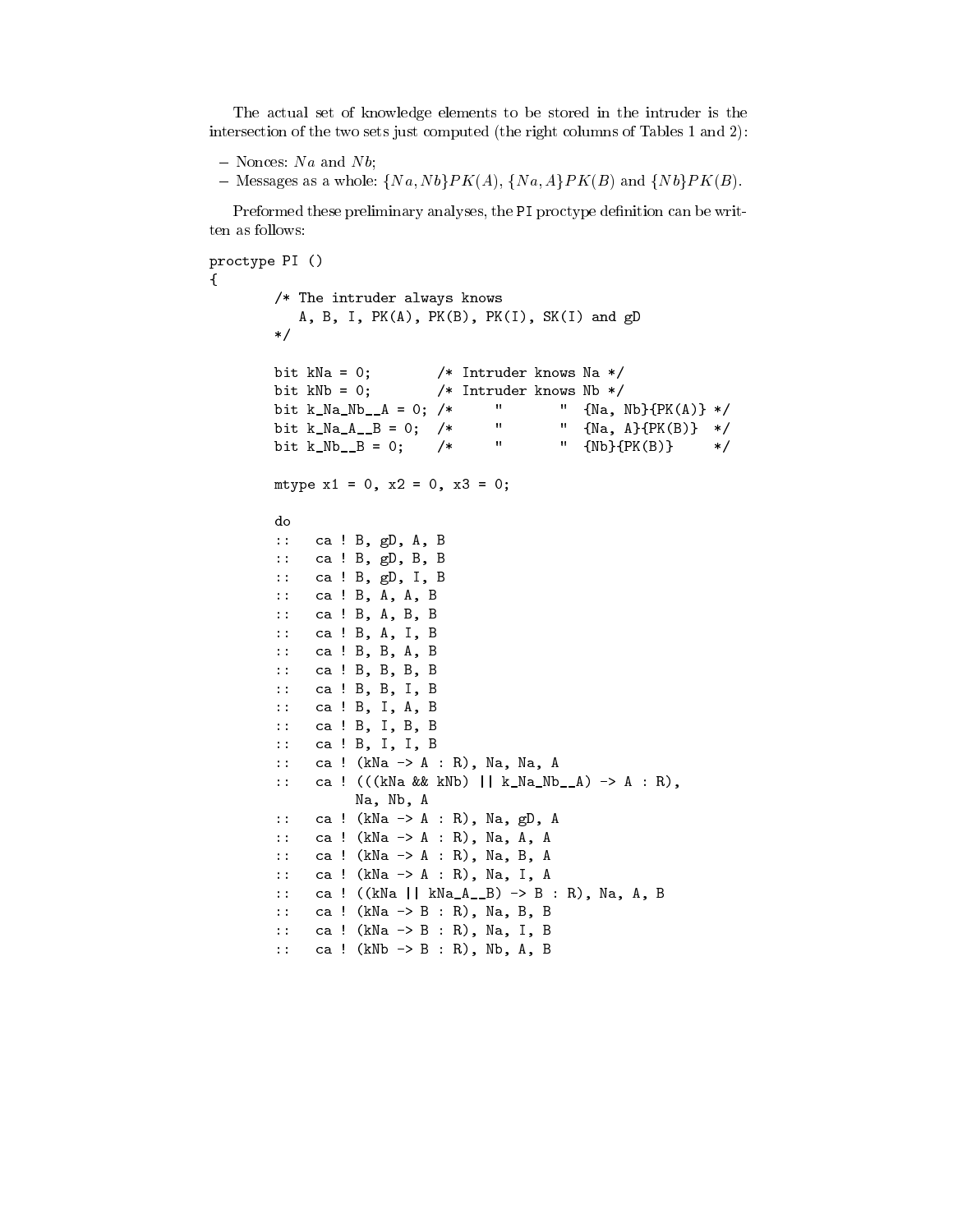The actual set of knowledge elements to be stored in the intruder is the intersection of the two sets just computed (the right columns of Tables 1 and 2):

- $-$  Nonces: Na and Nb;
- Messages as a whole:  $\{Na, Nb\}PK(A), \{Na, A\}PK(B)$  and  $\{Nb\}PK(B)$ .

Preformed these preliminary analyses, the PI proctype definition can be written as follows:

```
proctype PI ()
{\color{red} \bullet} . The contract of the contract of the contract of the contract of the contract of the contract of the contract of the contract of the contract of the contract of the contract of the contract of the contract of 
         /* The intruder always knows
             A, B, I, PK(A), PK(B), PK(I), SK(I) and gD
         \ast/\mathcal{L} . The state of \mathcal{L}bit kNa = 0; /* Intruder knows Na */bit kNb = 0; /* Intruder knows Nb */bit k_Na_Nb__A = 0; /* " " {Na, Nb}{PK(A)} */
                                         \mathbf{H}bit k_Na_A__B = 0; /* " " {Na, A}{PK(B)} */
                                          \mathbf{u}bit k_Nb__B = 0; /* " " {Nb}{PK(B)} */
                                         \mathbf{u}mtype x1 = 0, x2 = 0, x3 = 0;
         do
         :: ca ! B, gD, A, B
         :: ca ! B, gD, B, B
         :: ca ! B, gD, I, B
         :: ca ! B, A, A, B
         :: ca ! B, A, B, B
         :: ca ! B, A, I, B
         :: ca ! B, B, A, B
         :: ca ! B, B, B, B
         :: ca ! B, B, I, B
         :: ca ! B, I, A, B
         :: ca ! B, I, B, B
         :: ca ! B, I, I, B
         :: ca ! (kNa -> A : R), Na, Na, A
         \mathbf{H}ca ! (((kNa & kkNb) || k_Na_Nb_1) -& A : R),Na, Nb, A
         :: ca ! (kNa -> A : R), Na, gD, A
         :: ca ! (kNa -> A : R), Na, A, A
         :: ca ! (kNa -> A : R), Na, B, A
         :: ca ! (kNa -> A : R), Na, I, A
         :: ca ! ((kNa || kNa_A__B) -> B : R), Na, A, B
         :: ca ! (kNa -> B : R), Na, B, B
         :: ca ! (kNa -> B : R), Na, I, B
         :: ca ! (kNb -> B : R), Nb, A, B
```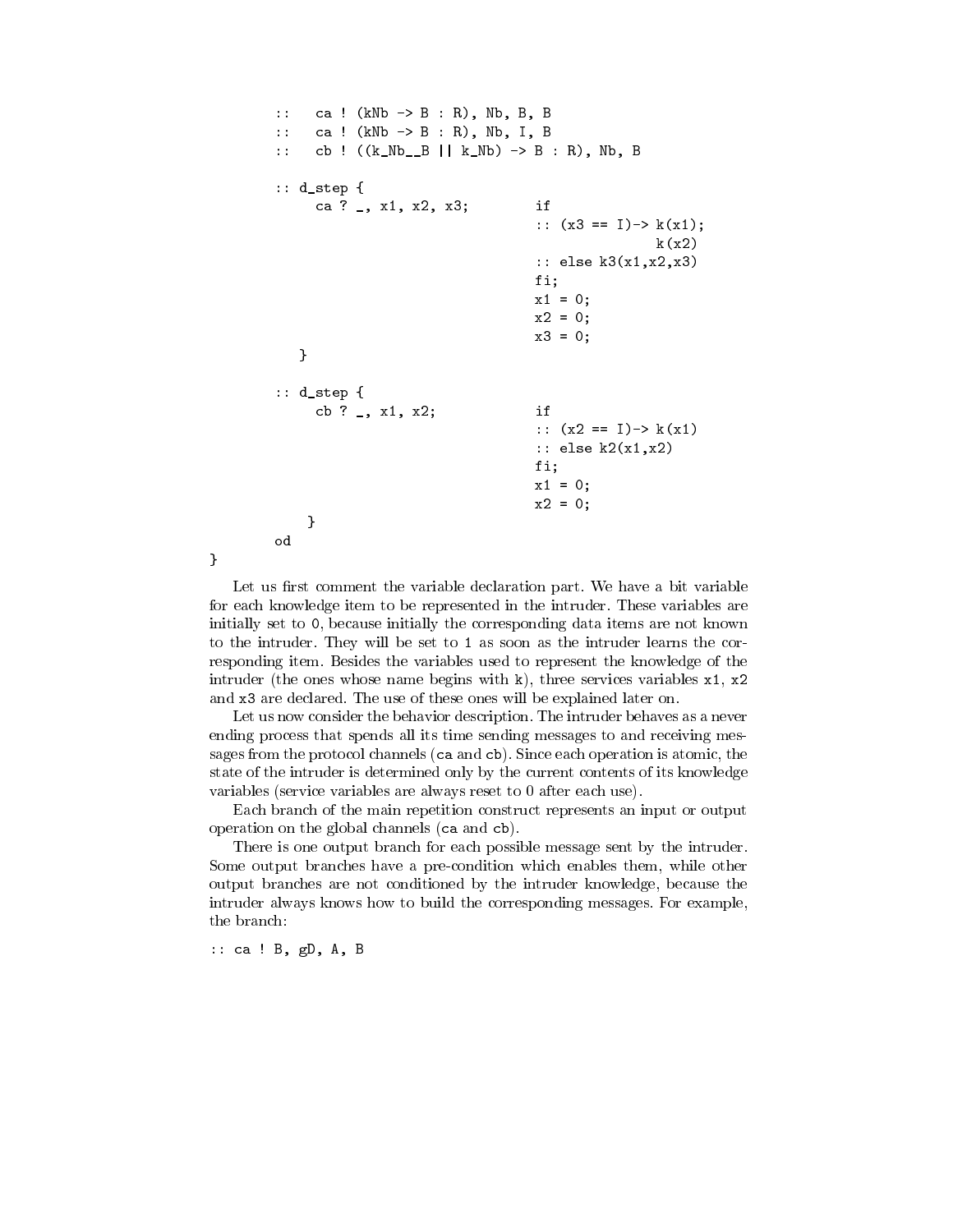```
:: ca ! (kNb -> B : R), Nb, B, B
\mathbf{H}:
    ca ! (kNb \rightarrow B : R), Nb, I, B
:: cb ! ((k_Nb__B || k_Nb) -> B : R), Nb, B
:: d_step {
    ca ? _, x1, x2, x3;
                                 if
                                 :: (x3 == 1) \rightarrow k(x1);
                                                k(x2):: else k3(x1,x2,x3)
                                fi;
                                x1 = 0;x2 = 0;x3 = 0;}
:: d_step {
    cb ? _, x1, x2; if
                                 :: (x2 == 1) -> k(x1):: else k2(x1,x2)
                                fi;
                                x1 = 0;x2 = 0;}
od
```
}

Let us first comment the variable declaration part. We have a bit variable for each knowledge item to be represented in the intruder. These variables are initially set to 0, because initially the corresponding data items are not known to the intruder. They will be set to 1 as soon as the intruder learns the corresponding item. Besides the variables used to represent the knowledge of the intruder (the ones whose name begins with k), three services variables  $x1$ ,  $x2$ and x3 are declared. The use of these ones will be explained later on.

Let us now consider the behavior description. The intruder behaves as a never ending process that spends all its time sending messages to and receiving messages from the protocol channels (ca and cb). Since each operation is atomic, the state of the intruder is determined only by the current contents of its knowledge variables (service variables are always reset to 0 after each use).

Each branch of the main repetition construct represents an input or output operation on the global channels (ca and cb).

There is one output branch for each possible message sent by the intruder. Some output branches have a pre-condition which enables them, while other output branches are not conditioned by the intruder knowledge, because the intruder always knows how to build the corresponding messages. For example, the branch:

:: ca ! B, gD, A, B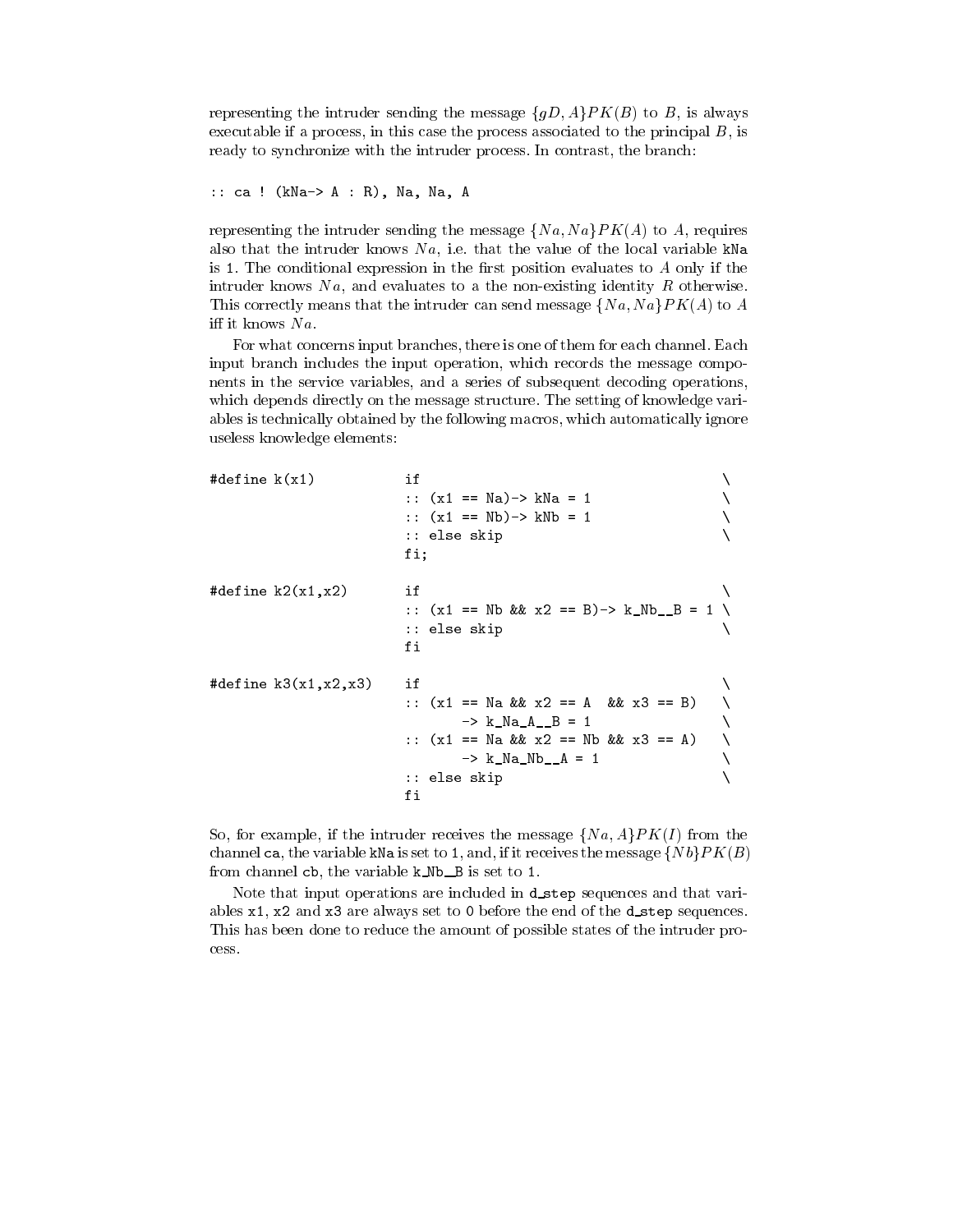representing the intruder sending the message  $\{qD, A\}PK(B)$  to B, is always executable if a process, in this case the process associated to the principal  $B$ , is ready to synchronize with the intruder process. In contrast, the branch:

```
:: ca ! (kNa-> A : R), Na, Na, A
```
representing the intruder sending the message  $\{Na, Na\}PK(A)$  to A, requires also that the intruder knows  $Na$ , i.e. that the value of the local variable kNa is 1. The conditional expression in the first position evaluates to  $A$  only if the intruder knows  $Na$ , and evaluates to a the non-existing identity  $R$  otherwise. This correctly means that the intruder can send message  $\{Na, Na\}PK(A)$  to A iff it knows  $Na$ .

For what concerns input branches, there is one of them for each channel. Each input branch includes the input operation, which records the message components in the service variables, and a series of subsequent decoding operations, which depends directly on the message structure. The setting of knowledge variables is technically obtained by the following macros, which automatically ignore useless knowledge elements:

```
if
\frac{1}{2} if \frac{1}{2} if \frac{1}{2} if \frac{1}{2} if \frac{1}{2} if \frac{1}{2} if \frac{1}{2} if \frac{1}{2} if \frac{1}{2} if \frac{1}{2} if \frac{1}{2} if \frac{1}{2} if \frac{1}{2} if \frac{1}{2} if \frac{1}{2} if \frac{1}{2} if \frac{1}{2} if 
                                 :: (x1 == Na) -> kNa = 1:: (x1 == Nb) \rightarrow kNb = 1N
                                                                                         X
                                 :: else skip \
                                 fi;
#define k2(x1, x2)i f
                                  :: (x1 == Nb & x2 == B) -> kNb_B = 1:: else skip \
                                 fi
#define k3(x1, x2, x3)if
                                  :: (x1 == Na & & x2 == A & & x & x3 == B)\rightarrow k Na A B = 1
                                  :: (x1 == Na & x& x2 == Nb & x& x3 == A)- k_Na_Nb__A = 1
                                                                                         \lambda:: else skip \
                                 fi
```
So, for example, if the intruder receives the message  $\{Na, A\}PK(I)$  from the channel ca, the variable kNa is set to 1, and, if it receives the message  $\{Nb\}PK(B)$ from channel  $cb$ , the variable  $k$  Nb  $B$  is set to 1.

Note that input operations are included in d step sequences and that variables  $x1$ ,  $x2$  and  $x3$  are always set to 0 before the end of the d\_step sequences. This has been done to reduce the amount of possible states of the intruder process.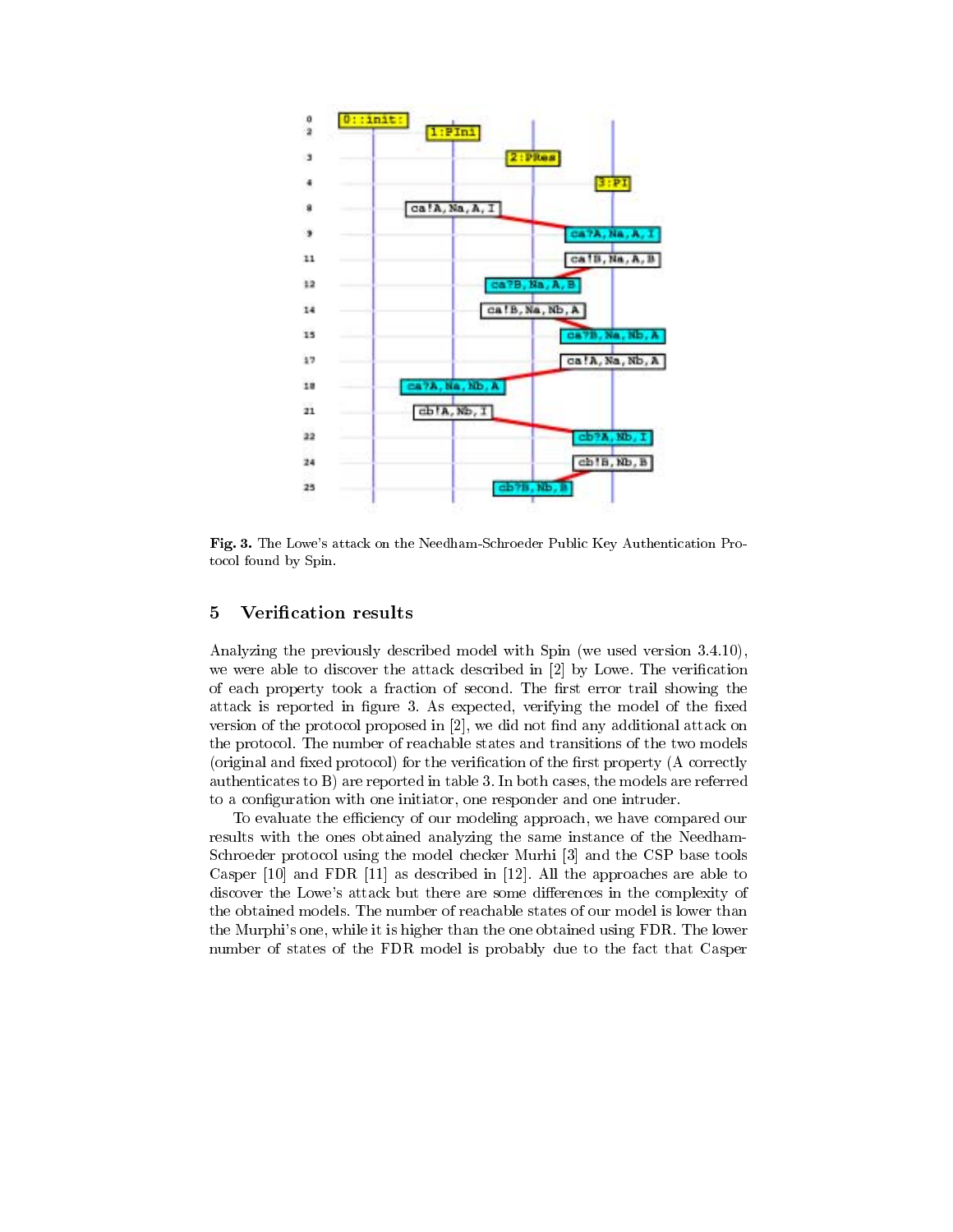

Fig. 3. The Lowe's attack on the Needham-Schroeder Public Key Authentication Protocol found by Spin.

#### $\overline{5}$ Verification results

Analyzing the previously described model with Spin (we used version 3.4.10), we were able to discover the attack described in [2] by Lowe. The verication of each property took a fraction of second. The first error trail showing the attack is reported in figure 3. As expected, verifying the model of the fixed version of the protocol proposed in  $[2]$ , we did not find any additional attack on the protocol. The number of reachable states and transitions of the two models (original and fixed protocol) for the verification of the first property (A correctly authenticates to B) are reported in table 3. In both cases, the models are referred to a conguration with one initiator, one responder and one intruder.

To evaluate the efficiency of our modeling approach, we have compared our results with the ones obtained analyzing the same instance of the Needham-Schroeder protocol using the model checker Murhi [3] and the CSP base tools Casper [10] and FDR [11] as described in [12]. All the approaches are able to discover the Lowe's attack but there are some differences in the complexity of the obtained models. The number of reachable states of our model is lower than the Murphi's one, while it is higher than the one obtained using FDR. The lower number of states of the FDR model is probably due to the fact that Casper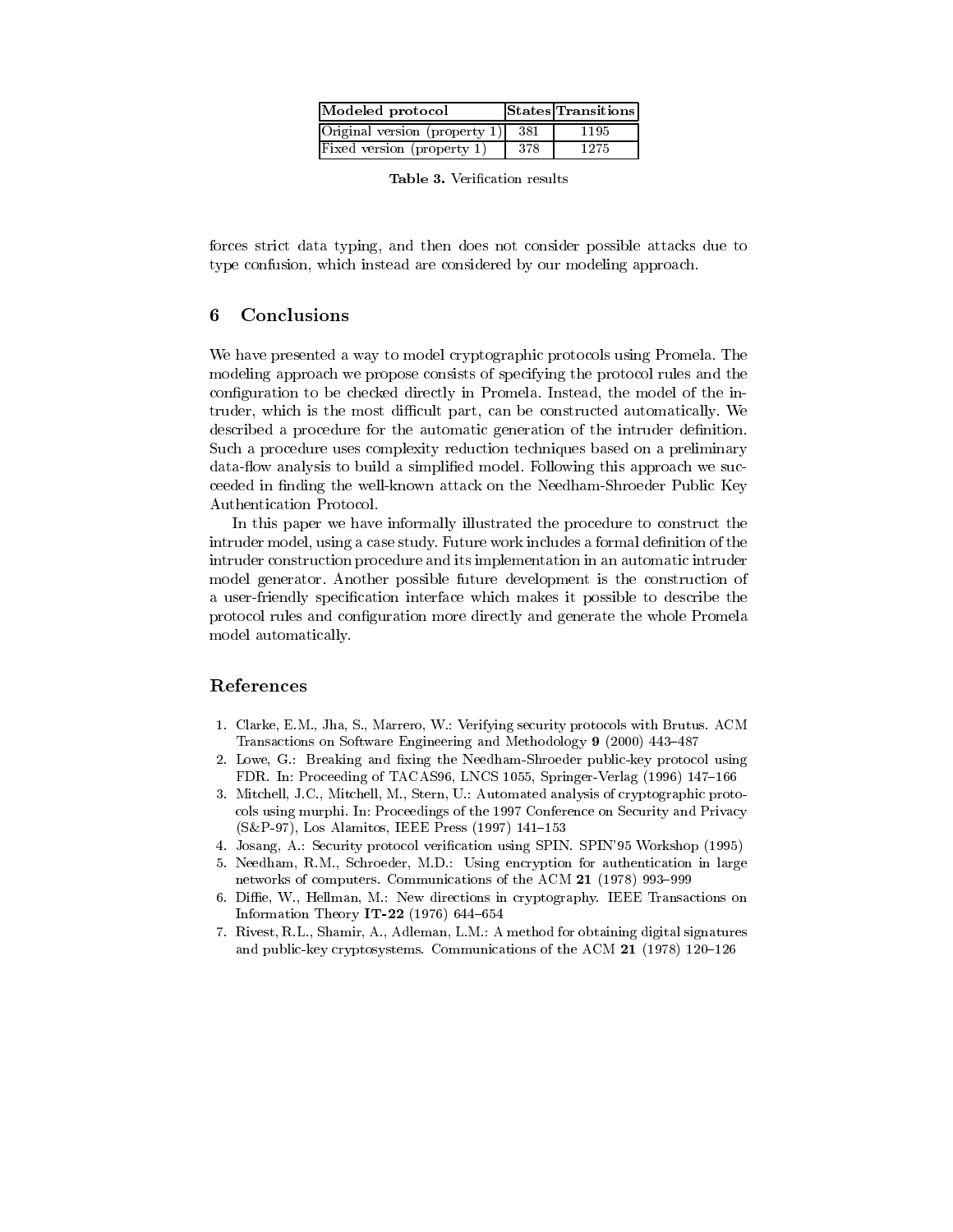| Modeled protocol              |     | States Transitions |
|-------------------------------|-----|--------------------|
| Original version (property 1) | 381 | 1195               |
| Fixed version (property 1)    | 378 | 1275               |

Table 3. Verification results

forces strict data typing, and then does not consider possible attacks due to type confusion, which instead are considered by our modeling approach.

#### 6 **Conclusions**

We have presented a way to model cryptographic protocols using Promela. The modeling approach we propose consists of specifying the protocol rules and the conguration to be checked directly in Promela. Instead, the model of the intruder, which is the most difficult part, can be constructed automatically. We described a procedure for the automatic generation of the intruder definition. Such a procedure uses complexity reduction techniques based on a preliminary data-flow analysis to build a simplified model. Following this approach we succeeded in finding the well-known attack on the Needham-Shroeder Public Key Authentication Protocol.

In this paper we have informally illustrated the procedure to construct the intruder model, using a case study. Future work includes a formal definition of the intruder construction procedure and its implementation in an automatic intruder model generator. Another possible future development is the construction of a user-friendly specication interface which makes it possible to describe the protocol rules and configuration more directly and generate the whole Promela model automatically.

# References

- 1. Clarke, E.M., Jha, S., Marrero, W.: Verifying security protocols with Brutus. ACM Transactions on Software Engineering and Methodology 9 (2000) 443-487
- 2. Lowe, G.: Breaking and fixing the Needham-Shroeder public-key protocol using FDR. In: Proceeding of TACAS96, LNCS 1055, Springer-Verlag  $(1996)$  147-166
- 3. Mitchell, J.C., Mitchell, M., Stern, U.: Automated analysis of cryptographic protocols using murphi. In: Proceedings of the 1997 Conference on Security and Privacy  $(S&P-97)$ , Los Alamitos, IEEE Press (1997) 141-153
- 4. Josang, A.: Security protocol verication using SPIN. SPIN'95 Workshop (1995)
- 5. Needham, R.M., Schroeder, M.D.: Using encryption for authentication in large networks of computers. Communications of the ACM 21 (1978) 993-999
- 6. Diffie, W., Hellman, M.: New directions in cryptography. IEEE Transactions on Information Theory IT-22 (1976) 644-654
- 7. Rivest, R.L., Shamir, A., Adleman, L.M.: A method for obtaining digital signatures and public-key cryptosystems. Communications of the ACM  $21$  (1978) 120-126